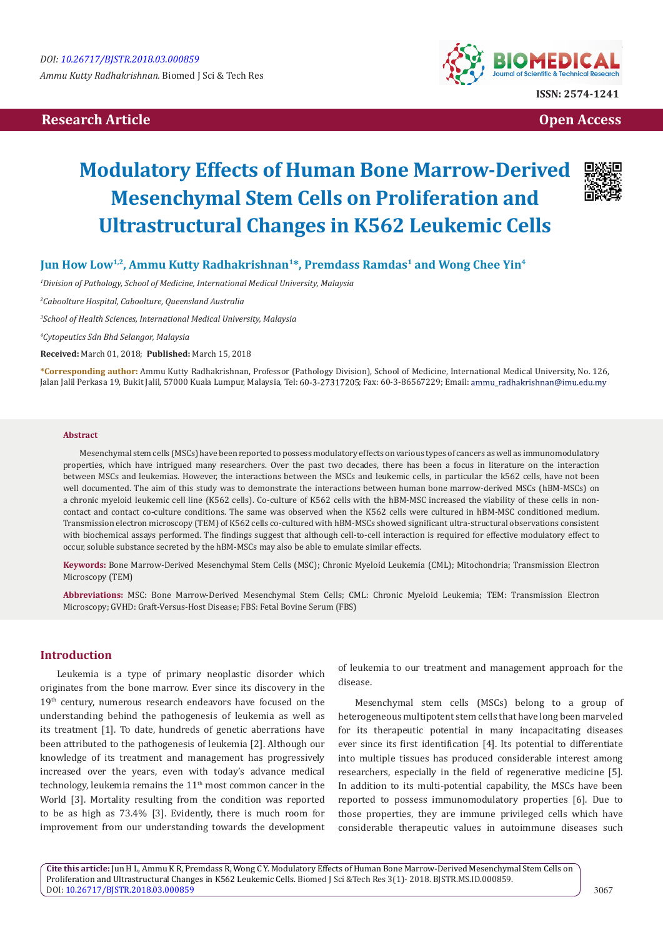# **Research Article Community Community Community Community Community Community Community Community Community Community Community Community Community Community Community Community Community Community Community Community Com**



# **Modulatory Effects of Human Bone Marrow-Derived Mesenchymal Stem Cells on Proliferation and Ultrastructural Changes in K562 Leukemic Cells**



## **Jun How Low1,2, Ammu Kutty Radhakrishnan1\*, Premdass Ramdas1 and Wong Chee Yin4**

*1 Division of Pathology, School of Medicine, International Medical University, Malaysia*

*2 Caboolture Hospital, Caboolture, Queensland Australia* 

*3 School of Health Sciences, International Medical University, Malaysia*

*4 Cytopeutics Sdn Bhd Selangor, Malaysia*

**Received:** March 01, 2018; **Published:** March 15, 2018

**\*Corresponding author:** Ammu Kutty Radhakrishnan, Professor (Pathology Division), School of Medicine, International Medical University, No. 126, Jalan Jalil Perkasa 19, Bukit Jalil, 57000 Kuala Lumpur, Malaysia, Tel: 60-3-27317205; Fax: 60-3-86567229; Email: ammu\_radhakrishnan@imu.edu.my

#### **Abstract**

Mesenchymal stem cells (MSCs) have been reported to possess modulatory effects on various types of cancers as well as immunomodulatory properties, which have intrigued many researchers. Over the past two decades, there has been a focus in literature on the interaction between MSCs and leukemias. However, the interactions between the MSCs and leukemic cells, in particular the k562 cells, have not been well documented. The aim of this study was to demonstrate the interactions between human bone marrow-derived MSCs (hBM-MSCs) on a chronic myeloid leukemic cell line (K562 cells). Co-culture of K562 cells with the hBM-MSC increased the viability of these cells in noncontact and contact co-culture conditions. The same was observed when the K562 cells were cultured in hBM-MSC conditioned medium. Transmission electron microscopy (TEM) of K562 cells co-cultured with hBM-MSCs showed significant ultra-structural observations consistent with biochemical assays performed. The findings suggest that although cell-to-cell interaction is required for effective modulatory effect to occur, soluble substance secreted by the hBM-MSCs may also be able to emulate similar effects.

**Keywords:** Bone Marrow-Derived Mesenchymal Stem Cells (MSC); Chronic Myeloid Leukemia (CML); Mitochondria; Transmission Electron Microscopy (TEM)

**Abbreviations:** MSC: Bone Marrow-Derived Mesenchymal Stem Cells; CML: Chronic Myeloid Leukemia; TEM: Transmission Electron Microscopy; GVHD: Graft-Versus-Host Disease; FBS: Fetal Bovine Serum (FBS)

## **Introduction**

Leukemia is a type of primary neoplastic disorder which originates from the bone marrow. Ever since its discovery in the 19<sup>th</sup> century, numerous research endeavors have focused on the understanding behind the pathogenesis of leukemia as well as its treatment [1]. To date, hundreds of genetic aberrations have been attributed to the pathogenesis of leukemia [2]. Although our knowledge of its treatment and management has progressively increased over the years, even with today's advance medical technology, leukemia remains the  $11<sup>th</sup>$  most common cancer in the World [3]. Mortality resulting from the condition was reported to be as high as 73.4% [3]. Evidently, there is much room for improvement from our understanding towards the development

of leukemia to our treatment and management approach for the disease.

Mesenchymal stem cells (MSCs) belong to a group of heterogeneous multipotent stem cells that have long been marveled for its therapeutic potential in many incapacitating diseases ever since its first identification [4]. Its potential to differentiate into multiple tissues has produced considerable interest among researchers, especially in the field of regenerative medicine [5]. In addition to its multi-potential capability, the MSCs have been reported to possess immunomodulatory properties [6]. Due to those properties, they are immune privileged cells which have considerable therapeutic values in autoimmune diseases such

**Cite this article:** Jun H L, Ammu K R, Premdass R, Wong C Y. Modulatory Effects of Human Bone Marrow-Derived Mesenchymal Stem Cells on Proliferation and Ultrastructural Changes in K562 Leukemic Cells. Biomed J Sci &Tech Res 3(1)- 2018. BJSTR.MS.ID.000859. DOI: [10.26717/BJSTR.2018.03.000859](http://dx.doi.org/10.26717/BJSTR.2018.03.000859)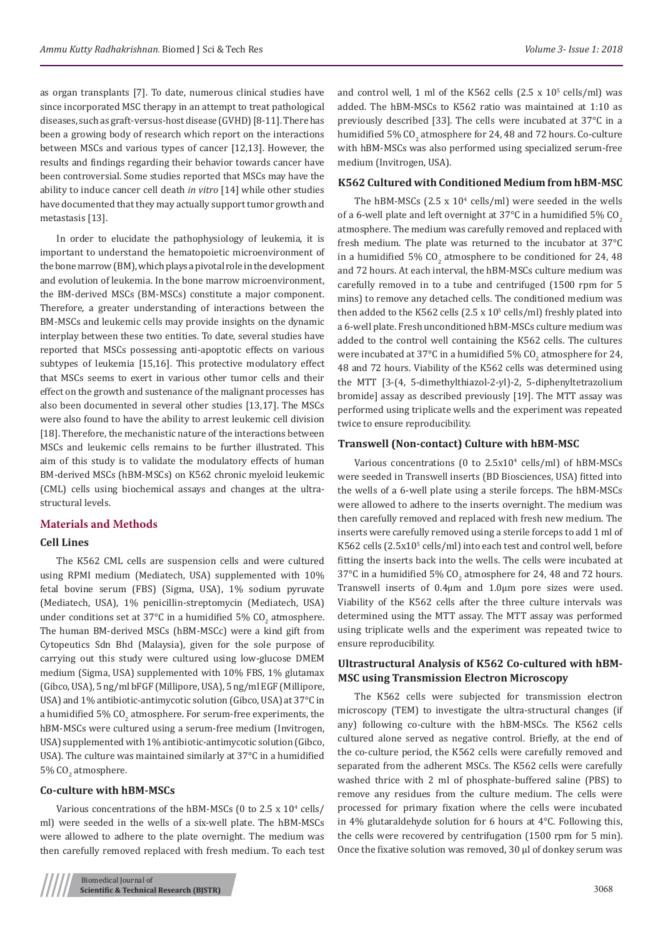as organ transplants [7]. To date, numerous clinical studies have since incorporated MSC therapy in an attempt to treat pathological diseases, such as graft-versus-host disease (GVHD) [8-11]. There has been a growing body of research which report on the interactions between MSCs and various types of cancer [12,13]. However, the results and findings regarding their behavior towards cancer have been controversial. Some studies reported that MSCs may have the ability to induce cancer cell death *in vitro* [14] while other studies have documented that they may actually support tumor growth and metastasis [13].

In order to elucidate the pathophysiology of leukemia, it is important to understand the hematopoietic microenvironment of the bone marrow (BM), which plays a pivotal role in the development and evolution of leukemia. In the bone marrow microenvironment, the BM-derived MSCs (BM-MSCs) constitute a major component. Therefore, a greater understanding of interactions between the BM-MSCs and leukemic cells may provide insights on the dynamic interplay between these two entities. To date, several studies have reported that MSCs possessing anti-apoptotic effects on various subtypes of leukemia [15,16]. This protective modulatory effect that MSCs seems to exert in various other tumor cells and their effect on the growth and sustenance of the malignant processes has also been documented in several other studies [13,17]. The MSCs were also found to have the ability to arrest leukemic cell division [18]. Therefore, the mechanistic nature of the interactions between MSCs and leukemic cells remains to be further illustrated. This aim of this study is to validate the modulatory effects of human BM-derived MSCs (hBM-MSCs) on K562 chronic myeloid leukemic (CML) cells using biochemical assays and changes at the ultrastructural levels.

#### **Materials and Methods**

#### **Cell Lines**

The K562 CML cells are suspension cells and were cultured using RPMI medium (Mediatech, USA) supplemented with 10% fetal bovine serum (FBS) (Sigma, USA), 1% sodium pyruvate (Mediatech, USA), 1% penicillin-streptomycin (Mediatech, USA) under conditions set at 37°C in a humidified 5%  $\text{CO}_2$  atmosphere. The human BM-derived MSCs (hBM-MSCc) were a kind gift from Cytopeutics Sdn Bhd (Malaysia), given for the sole purpose of carrying out this study were cultured using low-glucose DMEM medium (Sigma, USA) supplemented with 10% FBS, 1% glutamax (Gibco, USA), 5 ng/ml bFGF (Millipore, USA), 5 ng/ml EGF (Millipore, USA) and 1% antibiotic-antimycotic solution (Gibco, USA) at 37°C in a humidified 5% CO $_2$  atmosphere. For serum-free experiments, the hBM-MSCs were cultured using a serum-free medium (Invitrogen, USA) supplemented with 1% antibiotic-antimycotic solution (Gibco, USA). The culture was maintained similarly at 37°C in a humidified 5% CO $_2$  atmosphere.

#### **Co-culture with hBM-MSCs**

Various concentrations of the hBM-MSCs (0 to 2.5  $\times$  10<sup>4</sup> cells/ ml) were seeded in the wells of a six-well plate. The hBM-MSCs were allowed to adhere to the plate overnight. The medium was then carefully removed replaced with fresh medium. To each test

and control well, 1 ml of the K562 cells  $(2.5 \times 10^5 \text{ cells/ml})$  was added. The hBM-MSCs to K562 ratio was maintained at 1:10 as previously described [33]. The cells were incubated at 37°C in a humidified 5% CO $_2$  atmosphere for 24, 48 and 72 hours. Co-culture with hBM-MSCs was also performed using specialized serum-free medium (Invitrogen, USA).

## **K562 Cultured with Conditioned Medium from hBM-MSC**

The hBM-MSCs  $(2.5 \times 10^4 \text{ cells/ml})$  were seeded in the wells of a 6-well plate and left overnight at  $37^{\circ}$ C in a humidified  $5\%$  CO<sub>2</sub> atmosphere. The medium was carefully removed and replaced with fresh medium. The plate was returned to the incubator at 37°C in a humidified 5%  $\text{CO}_2$  atmosphere to be conditioned for 24, 48 and 72 hours. At each interval, the hBM-MSCs culture medium was carefully removed in to a tube and centrifuged (1500 rpm for 5 mins) to remove any detached cells. The conditioned medium was then added to the K562 cells (2.5 x  $10<sup>5</sup>$  cells/ml) freshly plated into a 6-well plate. Fresh unconditioned hBM-MSCs culture medium was added to the control well containing the K562 cells. The cultures were incubated at 37°C in a humidified 5% CO<sub>2</sub> atmosphere for 24, 48 and 72 hours. Viability of the K562 cells was determined using the MTT [3-(4, 5-dimethylthiazol-2-yl)-2, 5-diphenyltetrazolium bromide] assay as described previously [19]. The MTT assay was performed using triplicate wells and the experiment was repeated twice to ensure reproducibility.

## **Transwell (Non-contact) Culture with hBM-MSC**

Various concentrations ( $0$  to  $2.5x10^4$  cells/ml) of hBM-MSCs were seeded in Transwell inserts (BD Biosciences, USA) fitted into the wells of a 6-well plate using a sterile forceps. The hBM-MSCs were allowed to adhere to the inserts overnight. The medium was then carefully removed and replaced with fresh new medium. The inserts were carefully removed using a sterile forceps to add 1 ml of K562 cells (2.5x10<sup>5</sup> cells/ml) into each test and control well, before fitting the inserts back into the wells. The cells were incubated at  $37^{\circ}$ C in a humidified 5% CO<sub>2</sub> atmosphere for 24, 48 and 72 hours. Transwell inserts of 0.4μm and 1.0μm pore sizes were used. Viability of the K562 cells after the three culture intervals was determined using the MTT assay. The MTT assay was performed using triplicate wells and the experiment was repeated twice to ensure reproducibility.

## **Ultrastructural Analysis of K562 Co-cultured with hBM-MSC using Transmission Electron Microscopy**

The K562 cells were subjected for transmission electron microscopy (TEM) to investigate the ultra-structural changes (if any) following co-culture with the hBM-MSCs. The K562 cells cultured alone served as negative control. Briefly, at the end of the co-culture period, the K562 cells were carefully removed and separated from the adherent MSCs. The K562 cells were carefully washed thrice with 2 ml of phosphate-buffered saline (PBS) to remove any residues from the culture medium. The cells were processed for primary fixation where the cells were incubated in 4% glutaraldehyde solution for 6 hours at 4°C. Following this, the cells were recovered by centrifugation (1500 rpm for 5 min). Once the fixative solution was removed, 30 ul of donkey serum was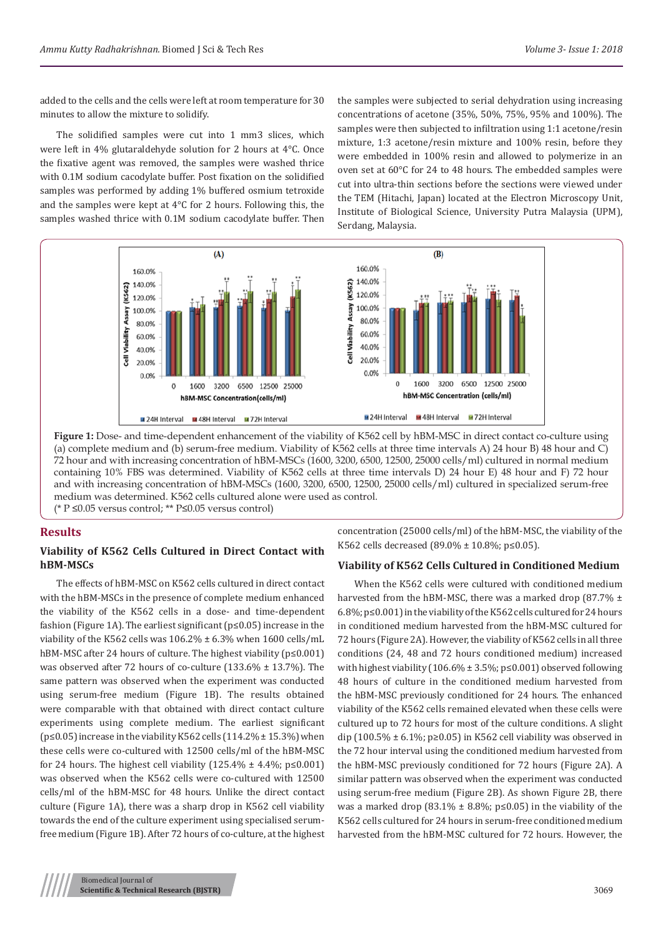added to the cells and the cells were left at room temperature for 30 minutes to allow the mixture to solidify.

The solidified samples were cut into 1 mm3 slices, which were left in 4% glutaraldehyde solution for 2 hours at 4°C. Once the fixative agent was removed, the samples were washed thrice with 0.1M sodium cacodylate buffer. Post fixation on the solidified samples was performed by adding 1% buffered osmium tetroxide and the samples were kept at 4°C for 2 hours. Following this, the samples washed thrice with 0.1M sodium cacodylate buffer. Then

the samples were subjected to serial dehydration using increasing concentrations of acetone (35%, 50%, 75%, 95% and 100%). The samples were then subjected to infiltration using 1:1 acetone/resin mixture, 1:3 acetone/resin mixture and 100% resin, before they were embedded in 100% resin and allowed to polymerize in an oven set at 60°C for 24 to 48 hours. The embedded samples were cut into ultra-thin sections before the sections were viewed under the TEM (Hitachi, Japan) located at the Electron Microscopy Unit, Institute of Biological Science, University Putra Malaysia (UPM), Serdang, Malaysia.



**Figure 1:** Dose- and time-dependent enhancement of the viability of K562 cell by hBM-MSC in direct contact co-culture using (a) complete medium and (b) serum-free medium. Viability of K562 cells at three time intervals A) 24 hour B) 48 hour and C) 72 hour and with increasing concentration of hBM-MSCs (1600, 3200, 6500, 12500, 25000 cells/ml) cultured in normal medium containing 10% FBS was determined. Viability of K562 cells at three time intervals D) 24 hour E) 48 hour and F) 72 hour and with increasing concentration of hBM-MSCs (1600, 3200, 6500, 12500, 25000 cells/ml) cultured in specialized serum-free medium was determined. K562 cells cultured alone were used as control.

## (\* P ≤0.05 versus control; \*\* P≤0.05 versus control)

## **Results**

## **Viability of K562 Cells Cultured in Direct Contact with hBM-MSCs**

The effects of hBM-MSC on K562 cells cultured in direct contact with the hBM-MSCs in the presence of complete medium enhanced the viability of the K562 cells in a dose- and time-dependent fashion (Figure 1A). The earliest significant (p≤0.05) increase in the viability of the K562 cells was 106.2% ± 6.3% when 1600 cells/mL hBM-MSC after 24 hours of culture. The highest viability (p≤0.001) was observed after 72 hours of co-culture (133.6% ± 13.7%). The same pattern was observed when the experiment was conducted using serum-free medium (Figure 1B). The results obtained were comparable with that obtained with direct contact culture experiments using complete medium. The earliest significant (p≤0.05) increase in the viability K562 cells (114.2% ± 15.3%) when these cells were co-cultured with 12500 cells/ml of the hBM-MSC for 24 hours. The highest cell viability  $(125.4\% \pm 4.4\% \cdot p \le 0.001)$ was observed when the K562 cells were co-cultured with 12500 cells/ml of the hBM-MSC for 48 hours. Unlike the direct contact culture (Figure 1A), there was a sharp drop in K562 cell viability towards the end of the culture experiment using specialised serumfree medium (Figure 1B). After 72 hours of co-culture, at the highest

concentration (25000 cells/ml) of the hBM-MSC, the viability of the K562 cells decreased (89.0% ± 10.8%; p≤0.05).

## **Viability of K562 Cells Cultured in Conditioned Medium**

When the K562 cells were cultured with conditioned medium harvested from the hBM-MSC, there was a marked drop (87.7%  $\pm$ 6.8%; p≤0.001) in the viability of the K562 cells cultured for 24 hours in conditioned medium harvested from the hBM-MSC cultured for 72 hours (Figure 2A). However, the viability of K562 cells in all three conditions (24, 48 and 72 hours conditioned medium) increased with highest viability (106.6%  $\pm$  3.5%; p ≤0.001) observed following 48 hours of culture in the conditioned medium harvested from the hBM-MSC previously conditioned for 24 hours. The enhanced viability of the K562 cells remained elevated when these cells were cultured up to 72 hours for most of the culture conditions. A slight dip (100.5%  $\pm$  6.1%; p≥0.05) in K562 cell viability was observed in the 72 hour interval using the conditioned medium harvested from the hBM-MSC previously conditioned for 72 hours (Figure 2A). A similar pattern was observed when the experiment was conducted using serum-free medium (Figure 2B). As shown Figure 2B, there was a marked drop (83.1%  $\pm$  8.8%; p ≤ 0.05) in the viability of the K562 cells cultured for 24 hours in serum-free conditioned medium harvested from the hBM-MSC cultured for 72 hours. However, the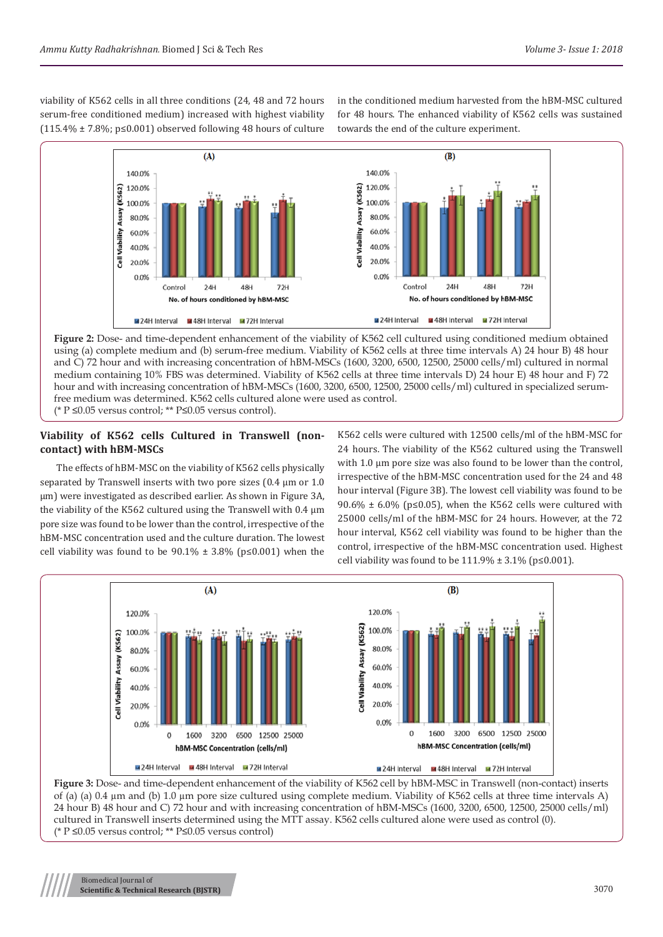viability of K562 cells in all three conditions (24, 48 and 72 hours serum-free conditioned medium) increased with highest viability  $(115.4\% \pm 7.8\%; p \le 0.001)$  observed following 48 hours of culture

in the conditioned medium harvested from the hBM-MSC cultured for 48 hours. The enhanced viability of K562 cells was sustained towards the end of the culture experiment.



**Figure 2:** Dose- and time-dependent enhancement of the viability of K562 cell cultured using conditioned medium obtained using (a) complete medium and (b) serum-free medium. Viability of K562 cells at three time intervals A) 24 hour B) 48 hour and C) 72 hour and with increasing concentration of hBM-MSCs (1600, 3200, 6500, 12500, 25000 cells/ml) cultured in normal medium containing 10% FBS was determined. Viability of K562 cells at three time intervals D) 24 hour E) 48 hour and F) 72 hour and with increasing concentration of hBM-MSCs (1600, 3200, 6500, 12500, 25000 cells/ml) cultured in specialized serumfree medium was determined. K562 cells cultured alone were used as control. (\* P ≤0.05 versus control; \*\* P≤0.05 versus control).

## **Viability of K562 cells Cultured in Transwell (noncontact) with hBM-MSCs**

The effects of hBM-MSC on the viability of K562 cells physically separated by Transwell inserts with two pore sizes (0.4  $\mu$ m or 1.0 µm) were investigated as described earlier. As shown in Figure 3A, the viability of the K562 cultured using the Transwell with 0.4 µm pore size was found to be lower than the control, irrespective of the hBM-MSC concentration used and the culture duration. The lowest cell viability was found to be  $90.1\% \pm 3.8\%$  (p≤0.001) when the

K562 cells were cultured with 12500 cells/ml of the hBM-MSC for 24 hours. The viability of the K562 cultured using the Transwell with 1.0 µm pore size was also found to be lower than the control, irrespective of the hBM-MSC concentration used for the 24 and 48 hour interval (Figure 3B). The lowest cell viability was found to be 90.6%  $\pm$  6.0% (p≤0.05), when the K562 cells were cultured with 25000 cells/ml of the hBM-MSC for 24 hours. However, at the 72 hour interval, K562 cell viability was found to be higher than the control, irrespective of the hBM-MSC concentration used. Highest cell viability was found to be  $111.9%$  ±  $3.1%$  (p≤0.001).



**Figure 3:** Dose- and time-dependent enhancement of the viability of K562 cell by hBM-MSC in Transwell (non-contact) inserts of (a) (a)  $0.4 \mu$ m and (b)  $1.0 \mu$ m pore size cultured using complete medium. Viability of K562 cells at three time intervals A) 24 hour B) 48 hour and C) 72 hour and with increasing concentration of hBM-MSCs (1600, 3200, 6500, 12500, 25000 cells/ml) cultured in Transwell inserts determined using the MTT assay. K562 cells cultured alone were used as control (0). (\* P ≤0.05 versus control; \*\* P≤0.05 versus control)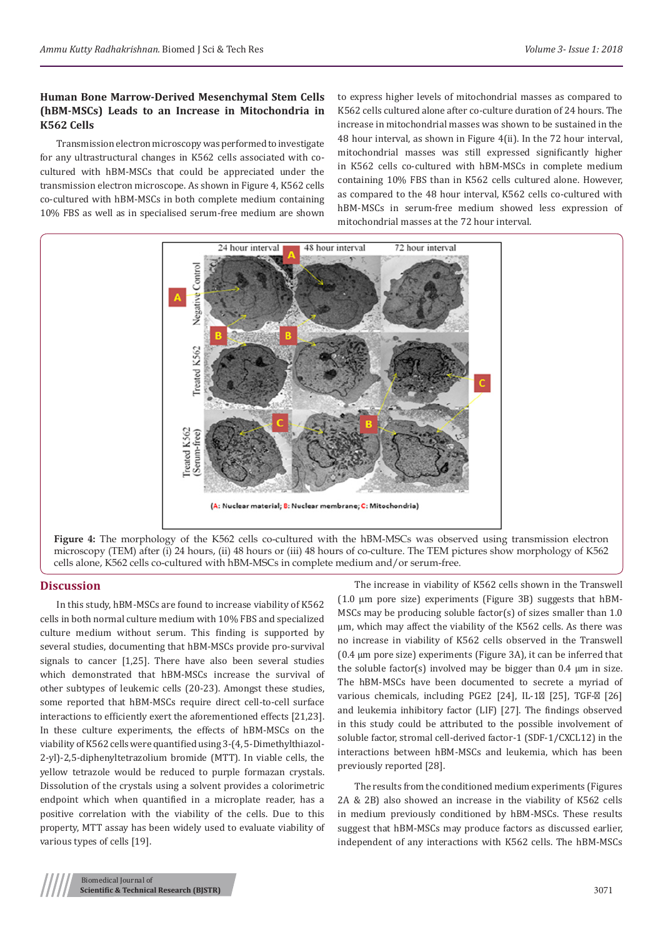## **Human Bone Marrow-Derived Mesenchymal Stem Cells (hBM-MSCs) Leads to an Increase in Mitochondria in K562 Cells**

Transmission electron microscopy was performed to investigate for any ultrastructural changes in K562 cells associated with cocultured with hBM-MSCs that could be appreciated under the transmission electron microscope. As shown in Figure 4, K562 cells co-cultured with hBM-MSCs in both complete medium containing 10% FBS as well as in specialised serum-free medium are shown

to express higher levels of mitochondrial masses as compared to K562 cells cultured alone after co-culture duration of 24 hours. The increase in mitochondrial masses was shown to be sustained in the 48 hour interval, as shown in Figure 4(ii). In the 72 hour interval, mitochondrial masses was still expressed significantly higher in K562 cells co-cultured with hBM-MSCs in complete medium containing 10% FBS than in K562 cells cultured alone. However, as compared to the 48 hour interval, K562 cells co-cultured with hBM-MSCs in serum-free medium showed less expression of mitochondrial masses at the 72 hour interval.



#### **Discussion**

In this study, hBM-MSCs are found to increase viability of K562 cells in both normal culture medium with 10% FBS and specialized culture medium without serum. This finding is supported by several studies, documenting that hBM-MSCs provide pro-survival signals to cancer [1,25]. There have also been several studies which demonstrated that hBM-MSCs increase the survival of other subtypes of leukemic cells (20-23). Amongst these studies, some reported that hBM-MSCs require direct cell-to-cell surface interactions to efficiently exert the aforementioned effects [21,23]. In these culture experiments, the effects of hBM-MSCs on the viability of K562 cells were quantified using 3-(4, 5-Dimethylthiazol-2-yl)-2,5-diphenyltetrazolium bromide (MTT). In viable cells, the yellow tetrazole would be reduced to purple formazan crystals. Dissolution of the crystals using a solvent provides a colorimetric endpoint which when quantified in a microplate reader, has a positive correlation with the viability of the cells. Due to this property, MTT assay has been widely used to evaluate viability of various types of cells [19].

cells alone, K562 cells co-cultured with hBM-MSCs in complete medium and/or serum-free.

The increase in viability of K562 cells shown in the Transwell (1.0 µm pore size) experiments (Figure 3B) suggests that hBM-MSCs may be producing soluble factor(s) of sizes smaller than 1.0 µm, which may affect the viability of the K562 cells. As there was no increase in viability of K562 cells observed in the Transwell (0.4 µm pore size) experiments (Figure 3A), it can be inferred that the soluble factor(s) involved may be bigger than  $0.4 \mu m$  in size. The hBM-MSCs have been documented to secrete a myriad of various chemicals, including PGE2 [24], IL-1 [25], TGF- [26] and leukemia inhibitory factor (LIF) [27]. The findings observed in this study could be attributed to the possible involvement of soluble factor, stromal cell-derived factor-1 (SDF-1/CXCL12) in the interactions between hBM-MSCs and leukemia, which has been previously reported [28].

The results from the conditioned medium experiments (Figures 2A & 2B) also showed an increase in the viability of K562 cells in medium previously conditioned by hBM-MSCs. These results suggest that hBM-MSCs may produce factors as discussed earlier, independent of any interactions with K562 cells. The hBM-MSCs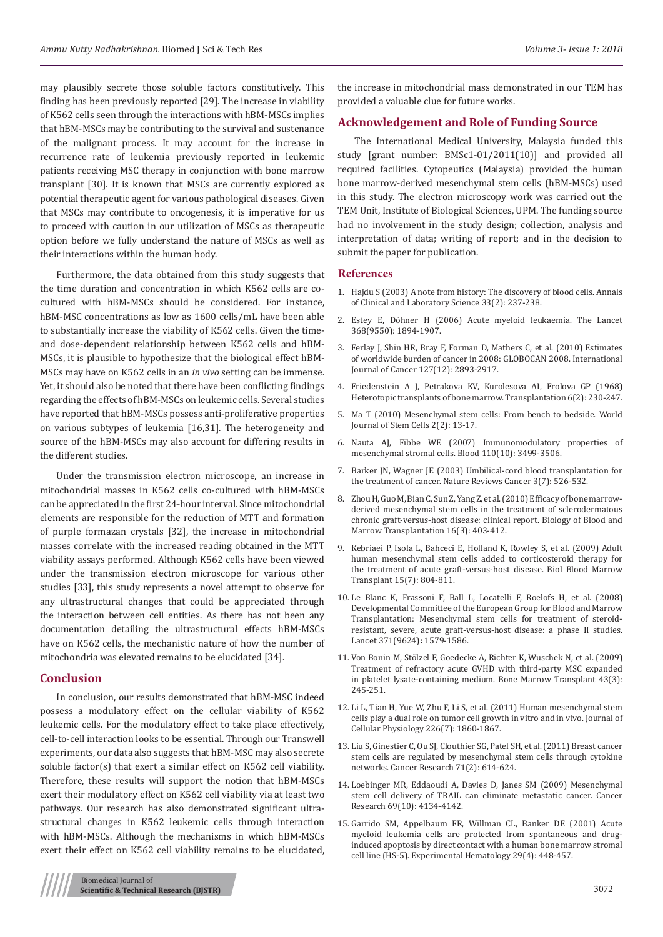may plausibly secrete those soluble factors constitutively. This finding has been previously reported [29]. The increase in viability of K562 cells seen through the interactions with hBM-MSCs implies that hBM-MSCs may be contributing to the survival and sustenance of the malignant process. It may account for the increase in recurrence rate of leukemia previously reported in leukemic patients receiving MSC therapy in conjunction with bone marrow transplant [30]. It is known that MSCs are currently explored as potential therapeutic agent for various pathological diseases. Given that MSCs may contribute to oncogenesis, it is imperative for us to proceed with caution in our utilization of MSCs as therapeutic option before we fully understand the nature of MSCs as well as their interactions within the human body.

Furthermore, the data obtained from this study suggests that the time duration and concentration in which K562 cells are cocultured with hBM-MSCs should be considered. For instance, hBM-MSC concentrations as low as 1600 cells/mL have been able to substantially increase the viability of K562 cells. Given the timeand dose-dependent relationship between K562 cells and hBM-MSCs, it is plausible to hypothesize that the biological effect hBM-MSCs may have on K562 cells in an *in vivo* setting can be immense. Yet, it should also be noted that there have been conflicting findings regarding the effects of hBM-MSCs on leukemic cells. Several studies have reported that hBM-MSCs possess anti-proliferative properties on various subtypes of leukemia [16,31]. The heterogeneity and source of the hBM-MSCs may also account for differing results in the different studies.

Under the transmission electron microscope, an increase in mitochondrial masses in K562 cells co-cultured with hBM-MSCs can be appreciated in the first 24-hour interval. Since mitochondrial elements are responsible for the reduction of MTT and formation of purple formazan crystals [32], the increase in mitochondrial masses correlate with the increased reading obtained in the MTT viability assays performed. Although K562 cells have been viewed under the transmission electron microscope for various other studies [33], this study represents a novel attempt to observe for any ultrastructural changes that could be appreciated through the interaction between cell entities. As there has not been any documentation detailing the ultrastructural effects hBM-MSCs have on K562 cells, the mechanistic nature of how the number of mitochondria was elevated remains to be elucidated [34].

#### **Conclusion**

In conclusion, our results demonstrated that hBM-MSC indeed possess a modulatory effect on the cellular viability of K562 leukemic cells. For the modulatory effect to take place effectively, cell-to-cell interaction looks to be essential. Through our Transwell experiments, our data also suggests that hBM-MSC may also secrete soluble factor(s) that exert a similar effect on K562 cell viability. Therefore, these results will support the notion that hBM-MSCs exert their modulatory effect on K562 cell viability via at least two pathways. Our research has also demonstrated significant ultrastructural changes in K562 leukemic cells through interaction with hBM-MSCs. Although the mechanisms in which hBM-MSCs exert their effect on K562 cell viability remains to be elucidated, the increase in mitochondrial mass demonstrated in our TEM has provided a valuable clue for future works.

## **Acknowledgement and Role of Funding Source**

The International Medical University, Malaysia funded this study [grant number: BMSc1-01/2011(10)] and provided all required facilities. Cytopeutics (Malaysia) provided the human bone marrow-derived mesenchymal stem cells (hBM-MSCs) used in this study. The electron microscopy work was carried out the TEM Unit, Institute of Biological Sciences, UPM. The funding source had no involvement in the study design; collection, analysis and interpretation of data; writing of report; and in the decision to submit the paper for publication.

## **References**

- 1. [Hajdu S \(2003\) A note from history: The discovery of blood cells. Annals](https://www.ncbi.nlm.nih.gov/pubmed/12817630) [of Clinical and Laboratory Science 33\(2\): 237-238.](https://www.ncbi.nlm.nih.gov/pubmed/12817630)
- 2. [Estey E, Döhner H \(2006\) Acute myeloid leukaemia. The Lancet](https://www.ncbi.nlm.nih.gov/pubmed/17126723) [368\(9550\): 1894-1907.](https://www.ncbi.nlm.nih.gov/pubmed/17126723)
- 3. [Ferlay J, Shin HR, Bray F, Forman D, Mathers C, et al. \(2010\) Estimates](https://www.ncbi.nlm.nih.gov/pubmed/21351269) [of worldwide burden of cancer in 2008: GLOBOCAN 2008. International](https://www.ncbi.nlm.nih.gov/pubmed/21351269) [Journal of Cancer 127\(12\): 2893-2917.](https://www.ncbi.nlm.nih.gov/pubmed/21351269)
- 4. [Friedenstein A J, Petrakova KV, Kurolesova AI, Frolova GP \(1968\)](https://www.ncbi.nlm.nih.gov/pubmed/5654088) [Heterotopic transplants of bone marrow. Transplantation 6\(2\): 230-247.](https://www.ncbi.nlm.nih.gov/pubmed/5654088)
- 5. [Ma T \(2010\) Mesenchymal stem cells: From bench to bedside. World](https://www.ncbi.nlm.nih.gov/pubmed/21607111) [Journal of Stem Cells 2\(2\): 13-17.](https://www.ncbi.nlm.nih.gov/pubmed/21607111)
- 6. [Nauta AJ, Fibbe WE \(2007\) Immunomodulatory properties of](https://www.ncbi.nlm.nih.gov/pubmed/17664353) [mesenchymal stromal cells. Blood 110\(10\): 3499-3506.](https://www.ncbi.nlm.nih.gov/pubmed/17664353)
- 7. [Barker JN, Wagner JE \(2003\) Umbilical-cord blood transplantation for](https://www.ncbi.nlm.nih.gov/pubmed/12835672) [the treatment of cancer. Nature Reviews Cancer 3\(7\): 526-532.](https://www.ncbi.nlm.nih.gov/pubmed/12835672)
- 8. [Zhou H, Guo M, Bian C, Sun Z, Yang Z, et al. \(2010\) Efficacy of bone marrow](https://www.ncbi.nlm.nih.gov/pubmed/19925878)[derived mesenchymal stem cells in the treatment of sclerodermatous](https://www.ncbi.nlm.nih.gov/pubmed/19925878) [chronic graft-versus-host disease: clinical report. Biology of Blood and](https://www.ncbi.nlm.nih.gov/pubmed/19925878) [Marrow Transplantation 16\(3\): 403-412.](https://www.ncbi.nlm.nih.gov/pubmed/19925878)
- 9. [Kebriaei P, Isola L, Bahceci E, Holland K, Rowley S, et al. \(2009\) Adult](https://www.ncbi.nlm.nih.gov/pubmed/19539211) [human mesenchymal stem cells added to corticosteroid therapy for](https://www.ncbi.nlm.nih.gov/pubmed/19539211) [the treatment of acute graft-versus-host disease. Biol Blood Marrow](https://www.ncbi.nlm.nih.gov/pubmed/19539211) [Transplant 15\(7\): 804-811.](https://www.ncbi.nlm.nih.gov/pubmed/19539211)
- 10. Le Blanc K, Frassoni F, Ball L, Locatelli F, Roelofs H, et al. (2008) Developmental Committee of the European Group for Blood and Marrow Transplantation: Mesenchymal stem cells for treatment of steroidresistant, severe, acute graft-versus-host disease: a phase II studies. Lancet 371(9624)**:** 1579-1586.
- 11. [Von Bonin M, Stölzel F, Goedecke A, Richter K, Wuschek N, et al. \(2009\)](https://www.ncbi.nlm.nih.gov/pubmed/18820709) [Treatment of refractory acute GVHD with third-party MSC expanded](https://www.ncbi.nlm.nih.gov/pubmed/18820709) [in platelet lysate-containing medium. Bone Marrow Transplant 43\(3\):](https://www.ncbi.nlm.nih.gov/pubmed/18820709) [245-251.](https://www.ncbi.nlm.nih.gov/pubmed/18820709)
- 12. [Li L, Tian H, Yue W, Zhu F, Li S, et al. \(2011\) Human mesenchymal stem](https://www.ncbi.nlm.nih.gov/pubmed/21442622) [cells play a dual role on tumor cell growth in vitro and in vivo. Journal of](https://www.ncbi.nlm.nih.gov/pubmed/21442622) [Cellular Physiology 226\(7\): 1860-1867.](https://www.ncbi.nlm.nih.gov/pubmed/21442622)
- 13. [Liu S, Ginestier C, Ou SJ, Clouthier SG, Patel SH, et al. \(2011\) Breast cancer](https://www.ncbi.nlm.nih.gov/pubmed/21224357) [stem cells are regulated by mesenchymal stem cells through cytokine](https://www.ncbi.nlm.nih.gov/pubmed/21224357) [networks. Cancer Research 71\(2\): 614-624.](https://www.ncbi.nlm.nih.gov/pubmed/21224357)
- 14. [Loebinger MR, Eddaoudi A, Davies D, Janes SM \(2009\) Mesenchymal](https://www.ncbi.nlm.nih.gov/pubmed/19435900) [stem cell delivery of TRAIL can eliminate metastatic cancer. Cancer](https://www.ncbi.nlm.nih.gov/pubmed/19435900) [Research 69\(10\): 4134-4142.](https://www.ncbi.nlm.nih.gov/pubmed/19435900)
- 15. [Garrido SM, Appelbaum FR, Willman CL, Banker DE \(2001\) Acute](https://www.ncbi.nlm.nih.gov/pubmed/11301185) [myeloid leukemia cells are protected from spontaneous and drug](https://www.ncbi.nlm.nih.gov/pubmed/11301185)[induced apoptosis by direct contact with a human bone marrow stromal](https://www.ncbi.nlm.nih.gov/pubmed/11301185) [cell line \(HS-5\). Experimental Hematology 29\(4\): 448-457.](https://www.ncbi.nlm.nih.gov/pubmed/11301185)